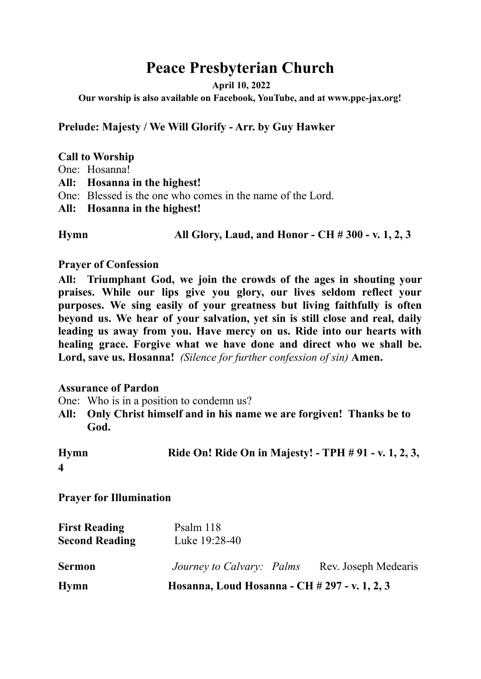# **Peace Presbyterian Church**

**April 10, 2022**

**Our worship is also available on Facebook, YouTube, and at www.ppc-jax.org!**

**Prelude: Majesty / We Will Glorify - Arr. by Guy Hawker**

### **Call to Worship**

- One: Hosanna!
- **All: Hosanna in the highest!**
- One: Blessed is the one who comes in the name of the Lord.
- **All: Hosanna in the highest!**

**Hymn All Glory, Laud, and Honor - CH # 300 - v. 1, 2, 3**

### **Prayer of Confession**

**All: Triumphant God, we join the crowds of the ages in shouting your praises. While our lips give you glory, our lives seldom reflect your purposes. We sing easily of your greatness but living faithfully is often beyond us. We hear of your salvation, yet sin is still close and real, daily leading us away from you. Have mercy on us. Ride into our hearts with healing grace. Forgive what we have done and direct who we shall be. Lord, save us. Hosanna!** *(Silence for further confession of sin)* **Amen.**

### **Assurance of Pardon**

- One: Who is in a position to condemn us?
- **All: Only Christ himself and in his name we are forgiven! Thanks be to God.**

| <b>Hymn</b> | Ride On! Ride On in Majesty! - TPH # 91 - v. 1, 2, 3, |
|-------------|-------------------------------------------------------|
|             |                                                       |

**Prayer for Illumination**

| <b>First Reading</b>  | Psalm 118                                     |                      |
|-----------------------|-----------------------------------------------|----------------------|
| <b>Second Reading</b> | Luke 19:28-40                                 |                      |
|                       |                                               |                      |
| <b>Sermon</b>         | Journey to Calvary: Palms                     | Rev. Joseph Medearis |
| Hymn                  | Hosanna, Loud Hosanna - CH # 297 - v. 1, 2, 3 |                      |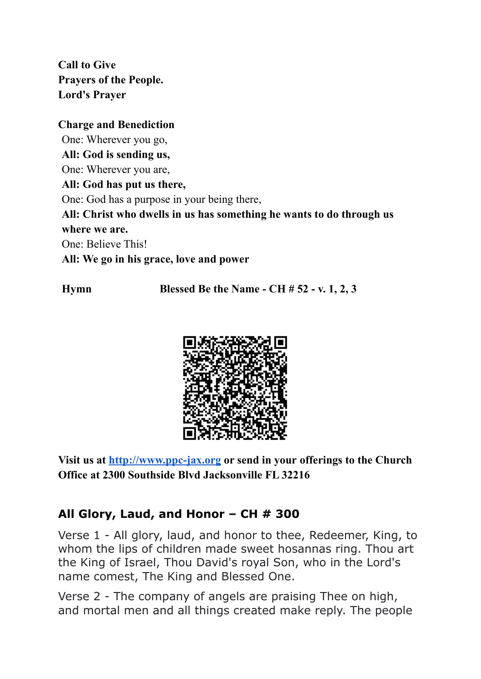**Call to Give Prayers of the People. Lord's Prayer**

# **Charge and Benediction**

One: Wherever you go, **All: God is sending us,** One: Wherever you are, **All: God has put us there,** One: God has a purpose in your being there, **All: Christ who dwells in us has something he wants to do through us where we are.** One: Believe This! **All: We go in his grace, love and power**

**Hymn Blessed Be the Name - CH # 52 - v. 1, 2, 3**



**Visit us at <http://www.ppc-jax.org> or send in your offerings to the Church Office at 2300 Southside Blvd Jacksonville FL 32216**

# **All Glory, Laud, and Honor – CH # 300**

Verse 1 - All glory, laud, and honor to thee, Redeemer, King, to whom the lips of children made sweet hosannas ring. Thou art the King of Israel, Thou David's royal Son, who in the Lord's name comest, The King and Blessed One.

Verse 2 - The company of angels are praising Thee on high, and mortal men and all things created make reply. The people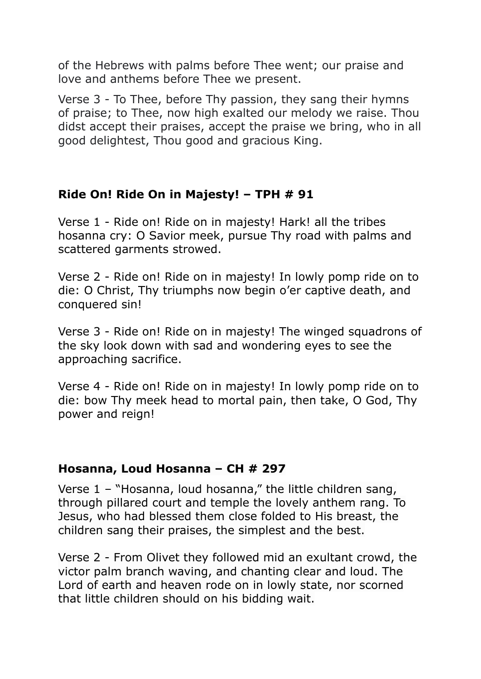of the Hebrews with palms before Thee went; our praise and love and anthems before Thee we present.

Verse 3 - To Thee, before Thy passion, they sang their hymns of praise; to Thee, now high exalted our melody we raise. Thou didst accept their praises, accept the praise we bring, who in all good delightest, Thou good and gracious King.

# **Ride On! Ride On in Majesty! – TPH # 91**

Verse 1 - Ride on! Ride on in majesty! Hark! all the tribes hosanna cry: O Savior meek, pursue Thy road with palms and scattered garments strowed.

Verse 2 - Ride on! Ride on in majesty! In lowly pomp ride on to die: O Christ, Thy triumphs now begin o'er captive death, and conquered sin!

Verse 3 - Ride on! Ride on in majesty! The winged squadrons of the sky look down with sad and wondering eyes to see the approaching sacrifice.

Verse 4 - Ride on! Ride on in majesty! In lowly pomp ride on to die: bow Thy meek head to mortal pain, then take, O God, Thy power and reign!

# **Hosanna, Loud Hosanna – CH # 297**

Verse 1 – "Hosanna, loud hosanna," the little children sang, through pillared court and temple the lovely anthem rang. To Jesus, who had blessed them close folded to His breast, the children sang their praises, the simplest and the best.

Verse 2 - From Olivet they followed mid an exultant crowd, the victor palm branch waving, and chanting clear and loud. The Lord of earth and heaven rode on in lowly state, nor scorned that little children should on his bidding wait.